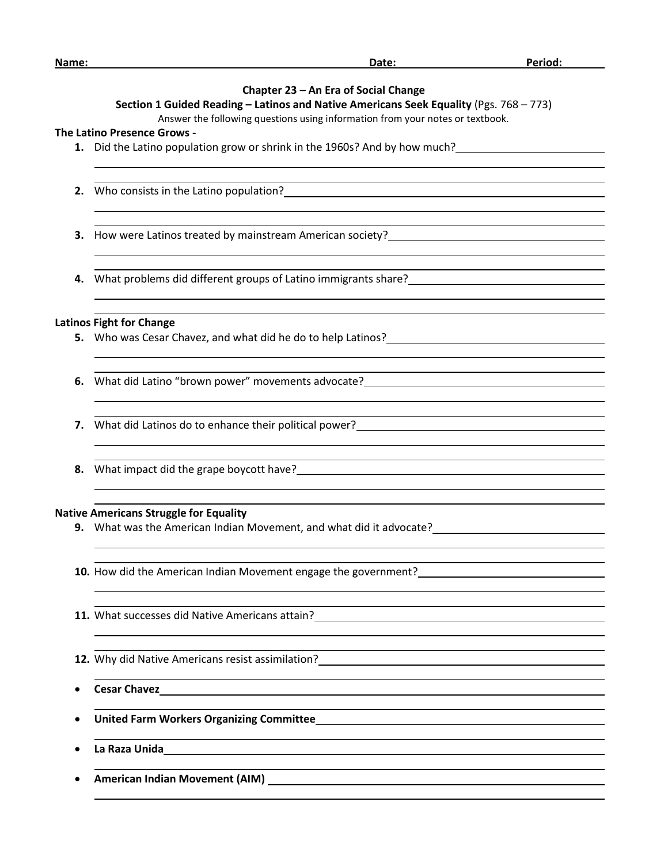| Name: | Date:                                                                                                                                                                      | Period: |
|-------|----------------------------------------------------------------------------------------------------------------------------------------------------------------------------|---------|
|       |                                                                                                                                                                            |         |
|       | Chapter 23 - An Era of Social Change                                                                                                                                       |         |
|       | Section 1 Guided Reading - Latinos and Native Americans Seek Equality (Pgs. 768 - 773)                                                                                     |         |
|       | Answer the following questions using information from your notes or textbook.                                                                                              |         |
|       | The Latino Presence Grows -                                                                                                                                                |         |
|       | 1. Did the Latino population grow or shrink in the 1960s? And by how much?                                                                                                 |         |
|       |                                                                                                                                                                            |         |
|       |                                                                                                                                                                            |         |
|       | 2. Who consists in the Latino population?<br><u> and the constant of the Latino population</u> (2003) and the constant of the Latin Constant of the Latin Constant         |         |
|       |                                                                                                                                                                            |         |
|       | 3. How were Latinos treated by mainstream American society?______________________                                                                                          |         |
|       |                                                                                                                                                                            |         |
|       |                                                                                                                                                                            |         |
|       |                                                                                                                                                                            |         |
|       | <b>Latinos Fight for Change</b>                                                                                                                                            |         |
|       |                                                                                                                                                                            |         |
|       |                                                                                                                                                                            |         |
|       | 6. What did Latino "brown power" movements advocate?<br>Material Annual Material Annual Material Annual Material Annual Material Annual Materia Materia Annual Materi      |         |
|       |                                                                                                                                                                            |         |
|       |                                                                                                                                                                            |         |
|       | 7. What did Latinos do to enhance their political power?<br>The manuscription of the manuscription of the manuscription of the manuscription of the manuscription of the m |         |
|       |                                                                                                                                                                            |         |
|       |                                                                                                                                                                            |         |
|       |                                                                                                                                                                            |         |
|       | <b>Native Americans Struggle for Equality</b>                                                                                                                              |         |
|       | <b>9.</b> What was the American Indian Movement, and what did it advocate?                                                                                                 |         |
|       |                                                                                                                                                                            |         |
|       |                                                                                                                                                                            |         |
|       |                                                                                                                                                                            |         |
|       |                                                                                                                                                                            |         |
|       |                                                                                                                                                                            |         |
|       |                                                                                                                                                                            |         |
|       | 12. Why did Native Americans resist assimilation?<br>2. Why did Native Americans resist assimilation?<br>2. Why did Native Americans resist assimilation?                  |         |
|       |                                                                                                                                                                            |         |
|       |                                                                                                                                                                            |         |
|       | United Farm Workers Organizing Committee_ <b>Manual Committee</b> and Committee and Committee and Committee and Commit                                                     |         |
|       |                                                                                                                                                                            |         |
|       |                                                                                                                                                                            |         |
|       |                                                                                                                                                                            |         |
|       |                                                                                                                                                                            |         |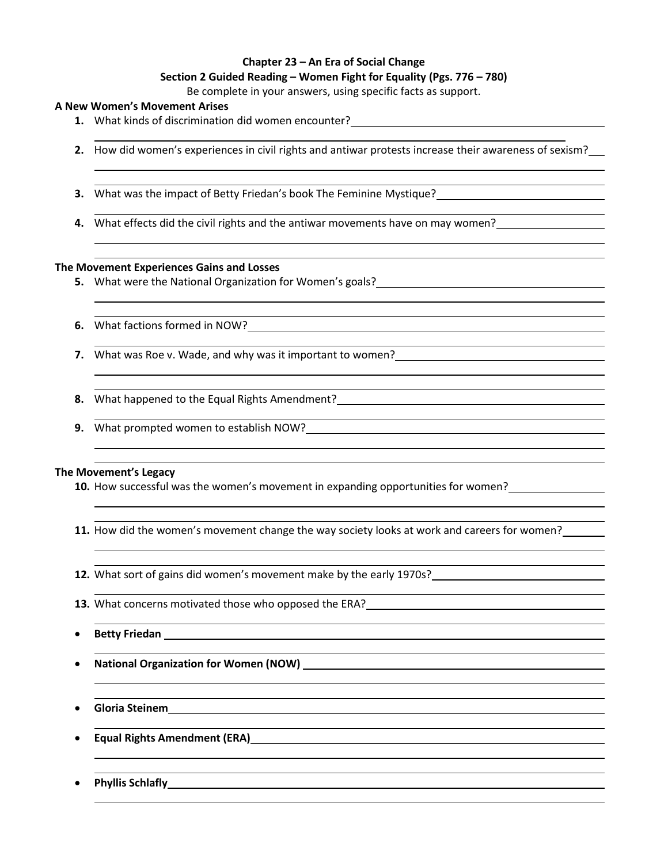## **Chapter 23 – An Era of Social Change Section 2 Guided Reading – Women Fight for Equality (Pgs. 776 – 780)**

Be complete in your answers, using specific facts as support.

# **A New Women's Movement Arises**

- **1.** What kinds of discrimination did women encounter?
- **2.** How did women's experiences in civil rights and antiwar protests increase their awareness of sexism?
- **3.** What was the impact of Betty Friedan's book The Feminine Mystique?
- **4.** What effects did the civil rights and the antiwar movements have on may women?

## **The Movement Experiences Gains and Losses**

- **5.** What were the National Organization for Women's goals?
- **6.** What factions formed in NOW?
- **7.** What was Roe v. Wade, and why was it important to women?
- **8.** What happened to the Equal Rights Amendment?
- **9.** What prompted women to establish NOW?

## **The Movement's Legacy**

- **10.** How successful was the women's movement in expanding opportunities for women?
- **11.** How did the women's movement change the way society looks at work and careers for women?
- **12.** What sort of gains did women's movement make by the early 1970s?
- **13.** What concerns motivated those who opposed the ERA?
- **Betty Friedan**
- **National Organization for Women (NOW)**
- **Gloria Steinem**
- **Equal Rights Amendment (ERA)**
- **Phyllis Schlafly**